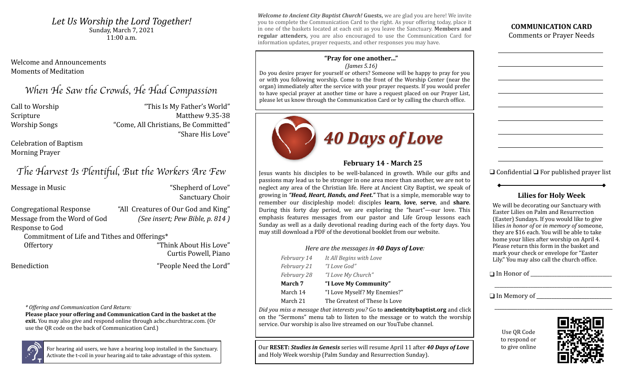$30110a$ y, Martin'i, 2021<br>11.00 am Let Us Worship the Lord Together! Sunday, March 7, 2021 11:00 a.m.

Welcome and Announcements Moments of Meditation 

# *When He Saw the Crowds, He Had Compassion*

Call to Worship **Call to Worship Call to World**" This Is My Father's World" Scripture Matthew 9.35-38 Worship Songs The Morship Songs The Morship Songs The Morship Songs The Morship Songs The Morse Tennes All Christians, Be Committed" "Share His Love"

Celebration of Baptism **Morning Prayer** 

# *The Harvest Is Plentiful, But the Workers Are Few*

Message in Music **Music** "Shepherd of Love" Sanctuary Choir Congregational Response "All Creatures of Our God and King" Message from the Word of God (See insert; Pew Bible, p. 814) Response to God Commitment of Life and Tithes and Offerings\* Offertory Think About His Love" Curtis Powell, Piano Benediction **The Contract Exception**  $\blacksquare$  People Need the Lord"

*\* Offering and Communication Card Return:*

**Please place your offering and Communication Card in the basket at the exit.** You may also give and respond online through acbc.churchtrac.com. (Or use the QR code on the back of Communication Card.)



For hearing aid users, we have a hearing loop installed in the Sanctuary. Activate the t-coil in your hearing aid to take advantage of this system.

**Welcome to Ancient City Baptist Church! Guests,** we are glad you are here! We invite you to complete the Communication Card to the right. As your offering today, place it in one of the baskets located at each exit as you leave the Sanctuary. **Members and regular attenders,** you are also encouraged to use the Communication Card for information updates, prayer requests, and other responses you may have.

#### **"Pray for one another…"** *(James 5.16)*

Do you desire prayer for yourself or others? Someone will be happy to pray for you or with you following worship. Come to the front of the Worship Center (near the organ) immediately after the service with your prayer requests. If you would prefer to have special prayer at another time or have a request placed on our Prayer List, please let us know through the Communication Card or by calling the church office.



## **February 14 - March 25**

Jesus wants his disciples to be well-balanced in growth. While our gifts and passions may lead us to be stronger in one area more than another, we are not to neglect any area of the Christian life. Here at Ancient City Baptist, we speak of growing in "**Head, Heart, Hands, and Feet.**" That is a simple, memorable way to remember our discipleship model: disciples **learn**, **love**, **serve**, and **share**. During this forty day period, we are exploring the "heart"—our love. This emphasis features messages from our pastor and Life Group lessons each Sunday as well as a daily devotional reading during each of the forty days. You may still download a PDF of the devotional booklet from our website.

#### *Here are the messages in 40 Days of Love:*

| February 14 | It All Begins with Love      |
|-------------|------------------------------|
| February 21 | "I Love God"                 |
| February 28 | "I Love My Church"           |
| March 7     | "I Love My Community"        |
| March 14    | "I Love Myself? My Enemies?" |
| 17 I O.1    | mic i (mi II                 |

March 21 The Greatest of These Is Love

*Did you miss a message that interests you?* Go to **ancientcitybaptist.org** and click on the "Sermons" menu tab to listen to the message or to watch the worship service. Our worship is also live streamed on our YouTube channel.

Our RESET: *Studies in Genesis* series will resume April 11 after 40 Days of Love and Holy Week worship (Palm Sunday and Resurrection Sunday).

**COMMUNICATION CARD Comments or Prayer Needs** 

<u> 1989 - Johann Barn, mars eta bainar eta industrial eta industrial eta industrial eta industrial eta industria</u>

<u> 1989 - Johann Barn, mars eta bainar eta idazlea (</u>

<u> 1989 - Johann Barbara, martxa amerikan p</u>

<u> 1989 - Johann Barn, mars eta bainar eta idazlea (</u>

<u> 1989 - Johann Barn, mars eta bainar eta idazlea (</u>

<u> 1989 - Johann Barbara, martxa amerikan p</u>

<u> 1989 - Johann Barn, mars eta bainar eta idazlea (</u>

<u> 1989 - Johann Barn, mars eta bainar eta idazlea (</u>

<u> 1989 - Johann Barbara, martxa amerikan p</u>

 $\Box$  Confidential  $\Box$  For published prayer list

### **Lilies for Holy Week**

We will be decorating our Sanctuary with Easter Lilies on Palm and Resurrection (Easter) Sundays. If you would like to give lilies *in honor of* or *in memory of* someone, they are \$16 each. You will be able to take home your lilies after worship on April 4. Please return this form in the basket and mark your check or envelope for "Easter Lily." You may also call the church office.

\_\_\_\_\_\_\_\_\_\_\_\_\_\_\_\_\_\_\_\_\_\_\_\_\_\_\_\_\_\_\_\_\_\_\_\_\_\_\_\_\_\_\_\_\_\_\_\_\_ 

\_\_\_\_\_\_\_\_\_\_\_\_\_\_\_\_\_\_\_\_\_\_\_\_\_\_\_\_\_\_\_\_\_\_\_\_\_\_\_\_\_\_\_\_\_\_\_

 $\Box$  In Honor of

❑ In Memory of \_\_\_\_\_\_\_\_\_\_\_\_\_\_\_\_\_\_\_\_\_\_\_\_\_\_\_\_\_\_

Use OR Code to respond or to give online